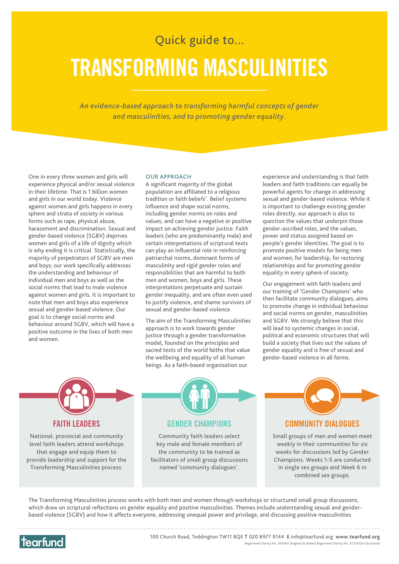## Quick guide to... **TRANSFORMING MASCULINITIES**

*An evidence-based approach to transforming harmful concepts of gender and masculinities, and to promoting gender equality.* 

One in every three women and girls will experience physical and/or sexual violence in their lifetime. That is 1 billion women and girls in our world today. Violence against women and girls happens in every sphere and strata of society in various forms such as rape, physical abuse, harassment and discrimination. Sexual and gender-based violence (SGBV) deprives women and girls of a life of dignity which is why ending it is critical. Statistically, the majority of perpetrators of SGBV are men and boys; our work specifically addresses the understanding and behaviour of individual men and boys as well as the social norms that lead to male violence against women and girls. It is important to note that men and boys also experience sexual and gender-based violence. Our goal is to change social norms and behaviour around SGBV, which will have a positive outcome in the lives of both men and women.

## **OUR APPROACH**

A significant majority of the global population are affiliated to a religious tradition or faith beliefs\* . Belief systems influence and shape social norms, including gender norms on roles and values, and can have a negative or positive impact on achieving gender justice. Faith leaders (who are predominantly male) and certain interpretations of scriptural texts can play an influential role in reinforcing patriarchal norms, dominant forms of masculinity and rigid gender roles and responsibilities that are harmful to both men and women, boys and girls. These interpretations perpetuate and sustain gender inequality, and are often even used to justify violence, and shame survivors of sexual and gender-based violence.

The aim of the Transforming Masculinities approach is to work towards gender justice through a gender transformative model, founded on the principles and sacred texts of the world faiths that value the wellbeing and equality of all human beings. As a faith-based organisation our

experience and understanding is that faith leaders and faith traditions can equally be powerful agents for change in addressing sexual and gender-based violence. While it is important to challenge existing gender roles directly, our approach is also to question the values that underpin those gender-ascribed roles, and the values, power and status assigned based on people's gender identities. The goal is to promote positive models for being men and women, for leadership, for restoring relationships and for promoting gender equality in every sphere of society.

Our engagement with faith leaders and our training of 'Gender Champions' who then facilitate community dialogues, aims to promote change in individual behaviour and social norms on gender, masculinities and SGBV. We strongly believe that this will lead to systemic changes in social, political and economic structures that will build a society that lives out the values of gender equality and is free of sexual and gender-based violence in all forms.



National, provincial and community level faith leaders attend workshops that engage and equip them to provide leadership and support for the Transforming Masculinities process.



Community faith leaders select key male and female members of the community to be trained as facilitators of small group discussions named 'community dialogues'.



Small groups of men and women meet weekly in their communities for six weeks for discussions led by Gender Champions. Weeks 1-5 are conducted in single sex groups and Week 6 in combined sex groups.

The Transforming Masculinities process works with both men and women through workshops or structured small group discussions, which draw on scriptural reflections on gender equality and positive masculinities. Themes include understanding sexual and genderbased violence (SGBV) and how it affects everyone, addressing unequal power and privilege, and discussing positive masculinities.